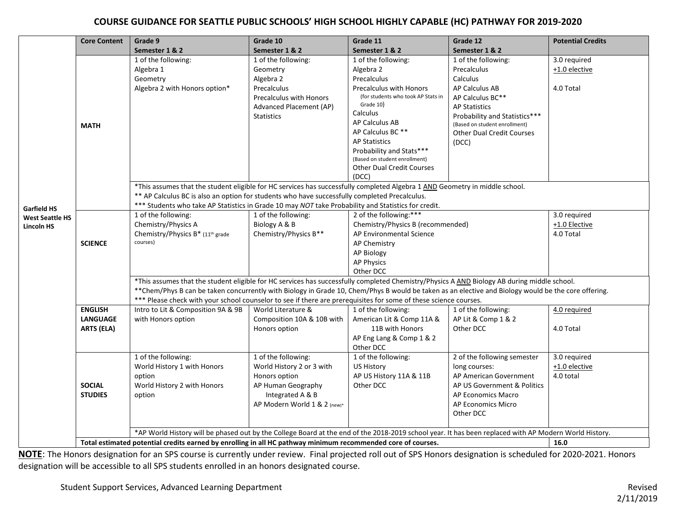## **COURSE GUIDANCE FOR SEATTLE PUBLIC SCHOOLS' HIGH SCHOOL HIGHLY CAPABLE (HC) PATHWAY FOR 2019-2020**

|                                                                   | <b>Core Content</b> | Grade 9                                                                                                                                                                                                                                                                                             | Grade 10                             | Grade 11                                  | Grade 12                         | <b>Potential Credits</b> |
|-------------------------------------------------------------------|---------------------|-----------------------------------------------------------------------------------------------------------------------------------------------------------------------------------------------------------------------------------------------------------------------------------------------------|--------------------------------------|-------------------------------------------|----------------------------------|--------------------------|
| <b>Garfield HS</b><br><b>West Seattle HS</b><br><b>Lincoln HS</b> |                     | Semester 1 & 2                                                                                                                                                                                                                                                                                      | Semester 1 & 2                       | Semester 1 & 2                            | Semester 1 & 2                   |                          |
|                                                                   |                     | 1 of the following:                                                                                                                                                                                                                                                                                 | 1 of the following:                  | 1 of the following:                       | 1 of the following:              | 3.0 required             |
|                                                                   |                     | Algebra 1                                                                                                                                                                                                                                                                                           | Geometry                             | Algebra 2                                 | Precalculus                      | $+1.0$ elective          |
|                                                                   |                     | Geometry                                                                                                                                                                                                                                                                                            | Algebra 2                            | Precalculus                               | Calculus                         |                          |
|                                                                   |                     | Algebra 2 with Honors option*                                                                                                                                                                                                                                                                       | Precalculus                          | <b>Precalculus with Honors</b>            | AP Calculus AB                   | 4.0 Total                |
|                                                                   |                     |                                                                                                                                                                                                                                                                                                     | Precalculus with Honors              | (for students who took AP Stats in        | AP Calculus BC**                 |                          |
|                                                                   |                     |                                                                                                                                                                                                                                                                                                     | Advanced Placement (AP)              | Grade 10)                                 | <b>AP Statistics</b>             |                          |
|                                                                   |                     |                                                                                                                                                                                                                                                                                                     | <b>Statistics</b>                    | Calculus                                  | Probability and Statistics***    |                          |
|                                                                   | <b>MATH</b>         |                                                                                                                                                                                                                                                                                                     |                                      | AP Calculus AB                            | (Based on student enrollment)    |                          |
|                                                                   |                     |                                                                                                                                                                                                                                                                                                     |                                      | AP Calculus BC**                          | <b>Other Dual Credit Courses</b> |                          |
|                                                                   |                     |                                                                                                                                                                                                                                                                                                     |                                      | <b>AP Statistics</b>                      | (DCC)                            |                          |
|                                                                   |                     |                                                                                                                                                                                                                                                                                                     |                                      | Probability and Stats***                  |                                  |                          |
|                                                                   |                     |                                                                                                                                                                                                                                                                                                     |                                      | (Based on student enrollment)             |                                  |                          |
|                                                                   |                     |                                                                                                                                                                                                                                                                                                     |                                      | <b>Other Dual Credit Courses</b><br>(DCC) |                                  |                          |
|                                                                   |                     |                                                                                                                                                                                                                                                                                                     |                                      |                                           |                                  |                          |
|                                                                   |                     | *This assumes that the student eligible for HC services has successfully completed Algebra 1 AND Geometry in middle school.                                                                                                                                                                         |                                      |                                           |                                  |                          |
|                                                                   |                     | ** AP Calculus BC is also an option for students who have successfully completed Precalculus.                                                                                                                                                                                                       |                                      |                                           |                                  |                          |
|                                                                   |                     | *** Students who take AP Statistics in Grade 10 may NOT take Probability and Statistics for credit.<br>2 of the following:***                                                                                                                                                                       |                                      |                                           |                                  |                          |
|                                                                   |                     | 1 of the following:                                                                                                                                                                                                                                                                                 | 1 of the following:<br>Biology A & B |                                           |                                  | 3.0 required             |
|                                                                   |                     | Chemistry/Physics A                                                                                                                                                                                                                                                                                 |                                      | Chemistry/Physics B (recommended)         |                                  | +1.0 Elective            |
|                                                                   | <b>SCIENCE</b>      | Chemistry/Physics B* (11th grade<br>courses)                                                                                                                                                                                                                                                        | Chemistry/Physics B**                | AP Environmental Science<br>AP Chemistry  |                                  | 4.0 Total                |
|                                                                   |                     |                                                                                                                                                                                                                                                                                                     |                                      | AP Biology                                |                                  |                          |
|                                                                   |                     |                                                                                                                                                                                                                                                                                                     |                                      | <b>AP Physics</b>                         |                                  |                          |
|                                                                   |                     |                                                                                                                                                                                                                                                                                                     |                                      | Other DCC                                 |                                  |                          |
|                                                                   |                     |                                                                                                                                                                                                                                                                                                     |                                      |                                           |                                  |                          |
|                                                                   |                     | *This assumes that the student eligible for HC services has successfully completed Chemistry/Physics A AND Biology AB during middle school.<br>** Chem/Phys B can be taken concurrently with Biology in Grade 10, Chem/Phys B would be taken as an elective and Biology would be the core offering. |                                      |                                           |                                  |                          |
|                                                                   |                     | *** Please check with your school counselor to see if there are prerequisites for some of these science courses.                                                                                                                                                                                    |                                      |                                           |                                  |                          |
|                                                                   | <b>ENGLISH</b>      | Intro to Lit & Composition 9A & 9B                                                                                                                                                                                                                                                                  | World Literature &                   | 1 of the following:                       | 1 of the following:              | 4.0 required             |
|                                                                   | <b>LANGUAGE</b>     | with Honors option                                                                                                                                                                                                                                                                                  | Composition 10A & 10B with           | American Lit & Comp 11A &                 | AP Lit & Comp 1 & 2              |                          |
|                                                                   | <b>ARTS (ELA)</b>   |                                                                                                                                                                                                                                                                                                     | Honors option                        | 11B with Honors                           | Other DCC                        | 4.0 Total                |
|                                                                   |                     |                                                                                                                                                                                                                                                                                                     |                                      | AP Eng Lang & Comp 1 & 2                  |                                  |                          |
|                                                                   |                     |                                                                                                                                                                                                                                                                                                     |                                      | Other DCC                                 |                                  |                          |
|                                                                   |                     | 1 of the following:                                                                                                                                                                                                                                                                                 | 1 of the following:                  | 1 of the following:                       | 2 of the following semester      | 3.0 required             |
|                                                                   |                     | World History 1 with Honors                                                                                                                                                                                                                                                                         | World History 2 or 3 with            | <b>US History</b>                         | long courses:                    | $+1.0$ elective          |
|                                                                   |                     | option                                                                                                                                                                                                                                                                                              | Honors option                        | AP US History 11A & 11B                   | AP American Government           | 4.0 total                |
|                                                                   | <b>SOCIAL</b>       | World History 2 with Honors                                                                                                                                                                                                                                                                         | AP Human Geography                   | Other DCC                                 | AP US Government & Politics      |                          |
|                                                                   | <b>STUDIES</b>      | option                                                                                                                                                                                                                                                                                              | Integrated A & B                     |                                           | AP Economics Macro               |                          |
|                                                                   |                     |                                                                                                                                                                                                                                                                                                     | AP Modern World 1 & 2 (new)*         |                                           | AP Economics Micro               |                          |
|                                                                   |                     |                                                                                                                                                                                                                                                                                                     |                                      |                                           | Other DCC                        |                          |
|                                                                   |                     |                                                                                                                                                                                                                                                                                                     |                                      |                                           |                                  |                          |
|                                                                   |                     | *AP World History will be phased out by the College Board at the end of the 2018-2019 school year. It has been replaced with AP Modern World History.                                                                                                                                               |                                      |                                           |                                  |                          |
|                                                                   |                     | Total estimated potential credits earned by enrolling in all HC pathway minimum recommended core of courses.<br>16.0                                                                                                                                                                                |                                      |                                           |                                  |                          |

**NOTE**: The Honors designation for an SPS course is currently under review. Final projected roll out of SPS Honors designation is scheduled for 2020-2021. Honors designation will be accessible to all SPS students enrolled in an honors designated course.

Student Support Services, Advanced Learning Department **Revised** Revised